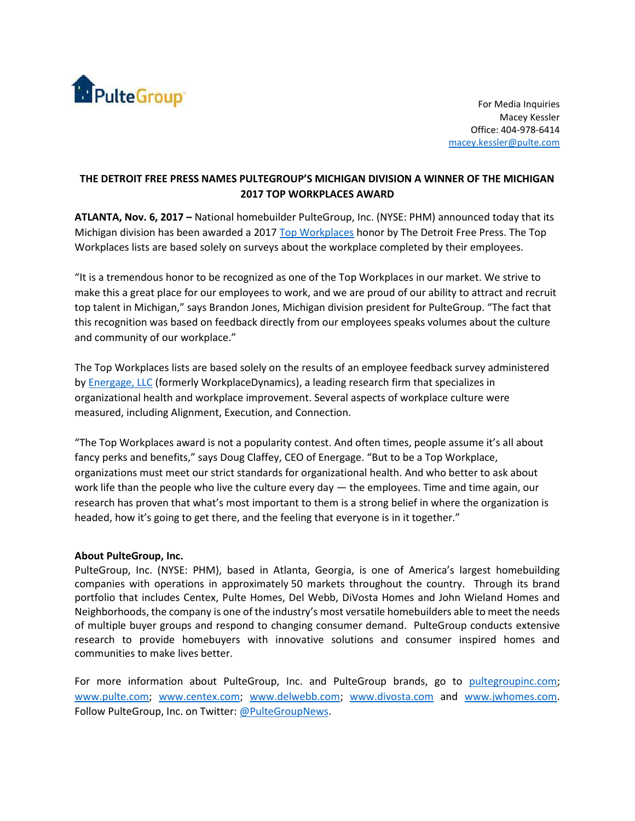

For Media Inquiries Macey Kessler Office: 404-978-6414 [macey.kessler@pulte.com](mailto:macey.kessler@pulte.com)

## **THE DETROIT FREE PRESS NAMES PULTEGROUP'S MICHIGAN DIVISION A WINNER OF THE MICHIGAN 2017 TOP WORKPLACES AWARD**

**ATLANTA, Nov. 6, 2017 –** National homebuilder PulteGroup, Inc. (NYSE: PHM) announced today that its Michigan division has been awarded a 2017 [Top Workplaces](http://www.topworkplaces.com/frontend.php/regional-lists) honor by The Detroit Free Press. The Top Workplaces lists are based solely on surveys about the workplace completed by their employees.

"It is a tremendous honor to be recognized as one of the Top Workplaces in our market. We strive to make this a great place for our employees to work, and we are proud of our ability to attract and recruit top talent in Michigan," says Brandon Jones, Michigan division president for PulteGroup. "The fact that this recognition was based on feedback directly from our employees speaks volumes about the culture and community of our workplace."

The Top Workplaces lists are based solely on the results of an employee feedback survey administered by [Energage, LLC](http://www.energage.com/) (formerly WorkplaceDynamics), a leading research firm that specializes in organizational health and workplace improvement. Several aspects of workplace culture were measured, including Alignment, Execution, and Connection.

"The Top Workplaces award is not a popularity contest. And often times, people assume it's all about fancy perks and benefits," says Doug Claffey, CEO of Energage. "But to be a Top Workplace, organizations must meet our strict standards for organizational health. And who better to ask about work life than the people who live the culture every day  $-$  the employees. Time and time again, our research has proven that what's most important to them is a strong belief in where the organization is headed, how it's going to get there, and the feeling that everyone is in it together."

## **About PulteGroup, Inc.**

PulteGroup, Inc. (NYSE: PHM), based in Atlanta, Georgia, is one of America's largest homebuilding companies with operations in approximately 50 markets throughout the country. Through its brand portfolio that includes Centex, Pulte Homes, Del Webb, DiVosta Homes and John Wieland Homes and Neighborhoods, the company is one of the industry's most versatile homebuilders able to meet the needs of multiple buyer groups and respond to changing consumer demand. PulteGroup conducts extensive research to provide homebuyers with innovative solutions and consumer inspired homes and communities to make lives better.

For more information about PulteGroup, Inc. and PulteGroup brands, go to [pultegroupinc.com;](http://pultegroupinc.com/) [www.pulte.com;](http://www.pulte.com/) [www.centex.com;](http://www.centex.com/) [www.delwebb.com;](http://www.delwebb.com/) [www.divosta.com](http://www.divosta.com/) and [www.jwhomes.com.](http://www.jwhomes.com/) Follow PulteGroup, Inc. on Twitter: [@PulteGroupNews.](https://twitter.com/PulteGroupNews)